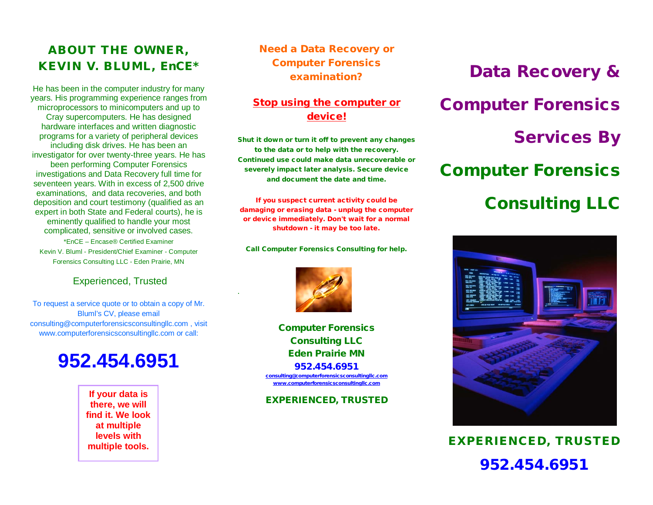### ABOUT THE OWNER, KEVIN V. BLUML, EnCE\*

He has been in the computer industry for many years. His programming experience ranges from microprocessors to minicomputers and up to Cray supercomputers. He has designed hardware interfaces and written diagnostic programs for a variety of peripheral devices including disk drives. He has been an investigator for over twenty-three years. He has been performing Computer Forensics investigations and Data Recovery full time for seventeen years. With in excess of 2,500 drive examinations, and data recoveries, and both deposition and court testimony (qualified as an expert in both State and Federal courts), he is eminently qualified to handle your most complicated, sensitive or involved cases.

\*EnCE – Encase® Certified Examiner Kevin V. Bluml - President/Chief Examiner - Computer Forensics Consulting LLC - Eden Prairie, MN

#### Experienced, Trusted

To request a service quote or to obtain a copy of Mr. Bluml's CV, please email consulting@computerforensicsconsultingllc.com , visit www.computerforensicsconsultingllc.com or call:

## **952.454.6951**

**there, we will find it. We look at multiple levels with multiple tools.**

Need a Data Recovery or Computer Forensics examination?

### Stop using the computer or device!

Shut it down or turn it off to prevent any changes to the data or to help with the recovery. Continued use could make data unrecoverable or severely impact later analysis. Secure device and document the date and time.

If you suspect current activity could be damaging or erasing data - unplug the computer or device immediately. Don't wait for a normal shutdown - it may be too late.

Call Computer Forensics Consulting for help.



.

Computer Forensics Consulting LLC Eden Prairie MN 952.454.6951 [consulting@computerforensicsconsultingllc.com](mailto:consulting@computerforensicsconsultingllc.com) [www.computerforensicsconsultingllc.com](http://www.computerforensicsconsultingllc.com/)

EXPERIENCED, TRUSTED **If your data is** 

# Data Recovery & Computer Forensics Services By Computer Forensics Consulting LLC



952.454.6951